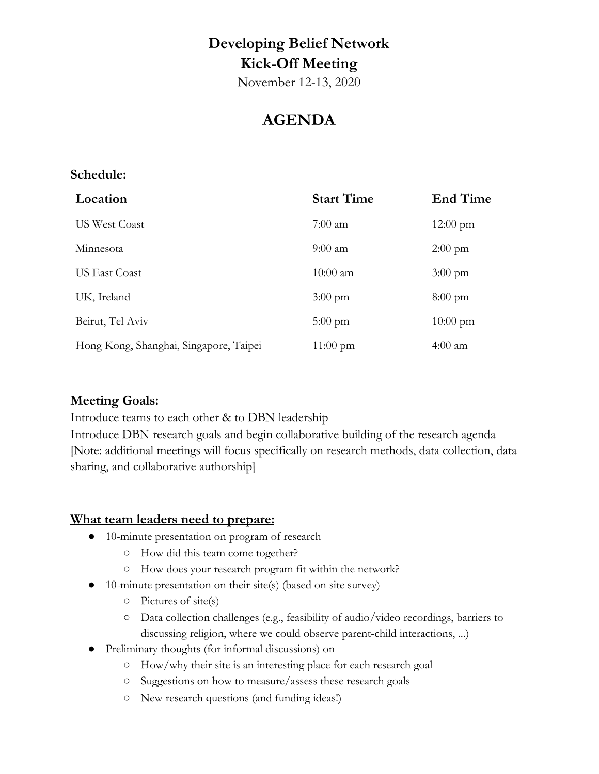## **Developing Belief Network Kick-Off Meeting**

November 12-13, 2020

### **AGENDA**

#### **Schedule:**

| Location                               | <b>Start Time</b>  | <b>End Time</b>    |
|----------------------------------------|--------------------|--------------------|
| <b>US West Coast</b>                   | $7:00 \text{ am}$  | $12:00 \text{ pm}$ |
| Minnesota                              | $9:00 \text{ am}$  | $2:00 \text{ pm}$  |
| US East Coast                          | $10:00$ am         | $3:00 \text{ pm}$  |
| UK, Ireland                            | $3:00 \text{ pm}$  | $8:00 \text{ pm}$  |
| Beirut, Tel Aviv                       | $5:00 \text{ pm}$  | $10:00 \text{ pm}$ |
| Hong Kong, Shanghai, Singapore, Taipei | $11:00 \text{ pm}$ | $4:00 \text{ am}$  |

#### **Meeting Goals:**

Introduce teams to each other & to DBN leadership

Introduce DBN research goals and begin collaborative building of the research agenda [Note: additional meetings will focus specifically on research methods, data collection, data sharing, and collaborative authorship]

#### **What team leaders need to prepare:**

- 10-minute presentation on program of research
	- How did this team come together?
	- How does your research program fit within the network?
- 10-minute presentation on their site(s) (based on site survey)
	- Pictures of site(s)
	- Data collection challenges (e.g., feasibility of audio/video recordings, barriers to discussing religion, where we could observe parent-child interactions, ...)
- Preliminary thoughts (for informal discussions) on
	- How/why their site is an interesting place for each research goal
	- Suggestions on how to measure/assess these research goals
	- New research questions (and funding ideas!)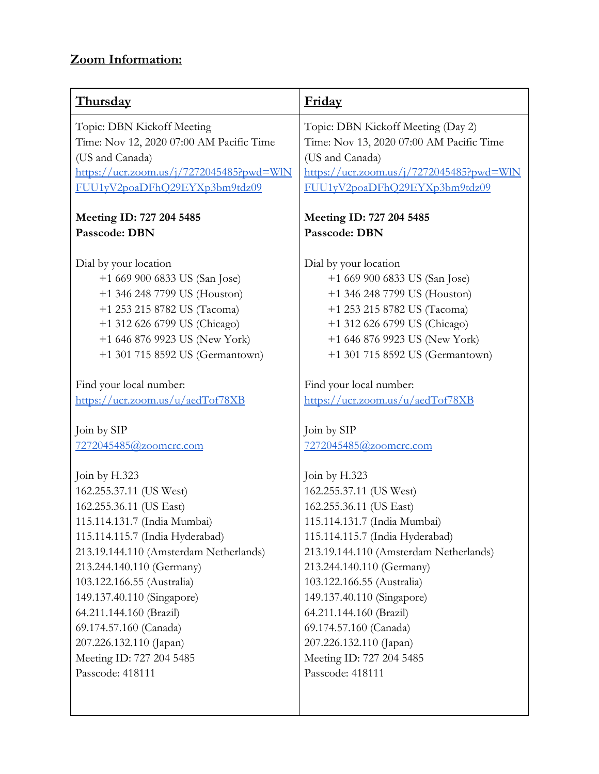### **Zoom Information:**

| <b>Thursday</b>                                          | Friday                                                   |
|----------------------------------------------------------|----------------------------------------------------------|
| Topic: DBN Kickoff Meeting                               | Topic: DBN Kickoff Meeting (Day 2)                       |
| Time: Nov 12, 2020 07:00 AM Pacific Time                 | Time: Nov 13, 2020 07:00 AM Pacific Time                 |
| (US and Canada)                                          | (US and Canada)                                          |
| $\frac{\text{https://ucr.zoom.us/j/7272045485?}$ pwd=WlN | $\frac{\text{https://ucr.zoom.us/j/7272045485?}$ pwd=WlN |
| FUU1yV2poaDFhQ29EYXp3bm9tdz09                            | FUU1yV2poaDFhQ29EYXp3bm9tdz09                            |
| Meeting ID: 727 204 5485                                 | Meeting ID: 727 204 5485                                 |
| Passcode: DBN                                            | Passcode: DBN                                            |
| Dial by your location                                    | Dial by your location                                    |
| +1 669 900 6833 US (San Jose)                            | +1 669 900 6833 US (San Jose)                            |
| +1 346 248 7799 US (Houston)                             | +1 346 248 7799 US (Houston)                             |
| +1 253 215 8782 US (Tacoma)                              | +1 253 215 8782 US (Tacoma)                              |
| +1 312 626 6799 US (Chicago)                             | +1 312 626 6799 US (Chicago)                             |
| +1 646 876 9923 US (New York)                            | +1 646 876 9923 US (New York)                            |
| +1 301 715 8592 US (Germantown)                          | +1 301 715 8592 US (Germantown)                          |
| Find your local number:                                  | Find your local number:                                  |
| https://ucr.zoom.us/u/aedTof78XB                         | https://ucr.zoom.us/u/aedTof78XB                         |
| Join by SIP                                              | Join by SIP                                              |
| 7272045485@zoomcrc.com                                   | 7272045485@zoomcrc.com                                   |
| Join by H.323                                            | Join by H.323                                            |
| 162.255.37.11 (US West)                                  | 162.255.37.11 (US West)                                  |
| 162.255.36.11 (US East)                                  | 162.255.36.11 (US East)                                  |
| 115.114.131.7 (India Mumbai)                             | 115.114.131.7 (India Mumbai)                             |
| 115.114.115.7 (India Hyderabad)                          | 115.114.115.7 (India Hyderabad)                          |
| 213.19.144.110 (Amsterdam Netherlands)                   | 213.19.144.110 (Amsterdam Netherlands)                   |
| 213.244.140.110 (Germany)                                | 213.244.140.110 (Germany)                                |
| 103.122.166.55 (Australia)                               | 103.122.166.55 (Australia)                               |
| 149.137.40.110 (Singapore)                               | 149.137.40.110 (Singapore)                               |
| 64.211.144.160 (Brazil)                                  | 64.211.144.160 (Brazil)                                  |
| 69.174.57.160 (Canada)                                   | 69.174.57.160 (Canada)                                   |
| 207.226.132.110 (Japan)                                  | 207.226.132.110 (Japan)                                  |
| Meeting ID: 727 204 5485                                 | Meeting ID: 727 204 5485                                 |
| Passcode: 418111                                         | Passcode: 418111                                         |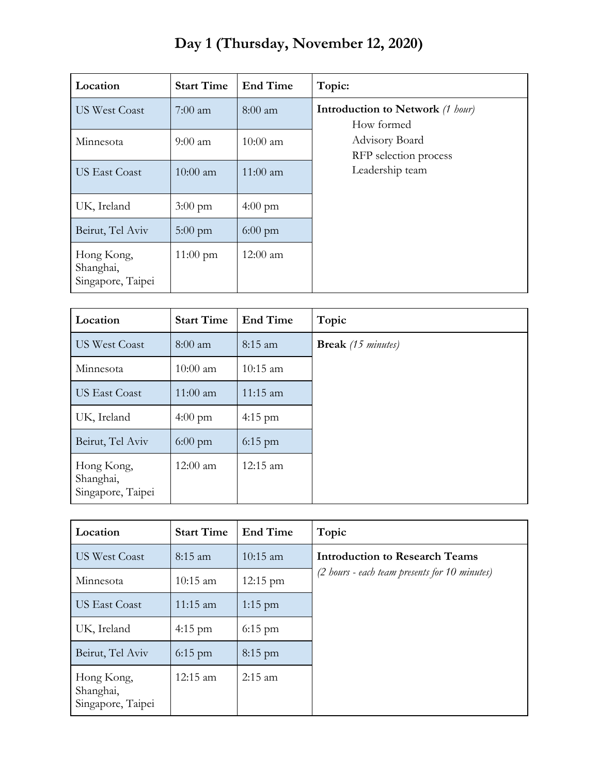|  |  | Day 1 (Thursday, November 12, 2020) |  |  |
|--|--|-------------------------------------|--|--|
|--|--|-------------------------------------|--|--|

| Location                                     | <b>Start Time</b>  | <b>End Time</b>   | Topic:                                                |
|----------------------------------------------|--------------------|-------------------|-------------------------------------------------------|
| <b>US West Coast</b>                         | $7:00 \text{ am}$  | $8:00$ am         | <b>Introduction to Network</b> (1 hour)<br>How formed |
| Minnesota                                    | $9:00$ am          | $10:00$ am        | Advisory Board<br>RFP selection process               |
| <b>US East Coast</b>                         | $10:00$ am         | $11:00$ am        | Leadership team                                       |
| UK, Ireland                                  | $3:00 \text{ pm}$  | $4:00 \text{ pm}$ |                                                       |
| Beirut, Tel Aviv                             | $5:00 \text{ pm}$  | $6:00 \text{ pm}$ |                                                       |
| Hong Kong,<br>Shanghai,<br>Singapore, Taipei | $11:00 \text{ pm}$ | $12:00$ am        |                                                       |

| Location                                     | <b>Start Time</b> | <b>End Time</b>    | Topic                     |
|----------------------------------------------|-------------------|--------------------|---------------------------|
| <b>US West Coast</b>                         | $8:00$ am         | $8:15$ am          | <b>Break</b> (15 minutes) |
| Minnesota                                    | $10:00$ am        | $10:15$ am         |                           |
| <b>US East Coast</b>                         | $11:00$ am        | $11:15$ am         |                           |
| UK, Ireland                                  | $4:00 \text{ pm}$ | $4:15 \text{ pm}$  |                           |
| Beirut, Tel Aviv                             | $6:00 \text{ pm}$ | $6:15$ pm          |                           |
| Hong Kong,<br>Shanghai,<br>Singapore, Taipei | $12:00$ am        | $12:15 \text{ am}$ |                           |

| Location                                     | <b>Start Time</b>  | <b>End Time</b>    | Topic                                         |
|----------------------------------------------|--------------------|--------------------|-----------------------------------------------|
| <b>US West Coast</b>                         | $8:15$ am          | $10:15$ am         | <b>Introduction to Research Teams</b>         |
| Minnesota                                    | $10:15$ am         | $12:15 \text{ pm}$ | (2 hours - each team presents for 10 minutes) |
| <b>US East Coast</b>                         | $11:15 \text{ am}$ | $1:15$ pm          |                                               |
| UK, Ireland                                  | $4:15$ pm          | $6:15$ pm          |                                               |
| Beirut, Tel Aviv                             | $6:15$ pm          | $8:15 \text{ pm}$  |                                               |
| Hong Kong,<br>Shanghai,<br>Singapore, Taipei | 12:15 am           | $2:15$ am          |                                               |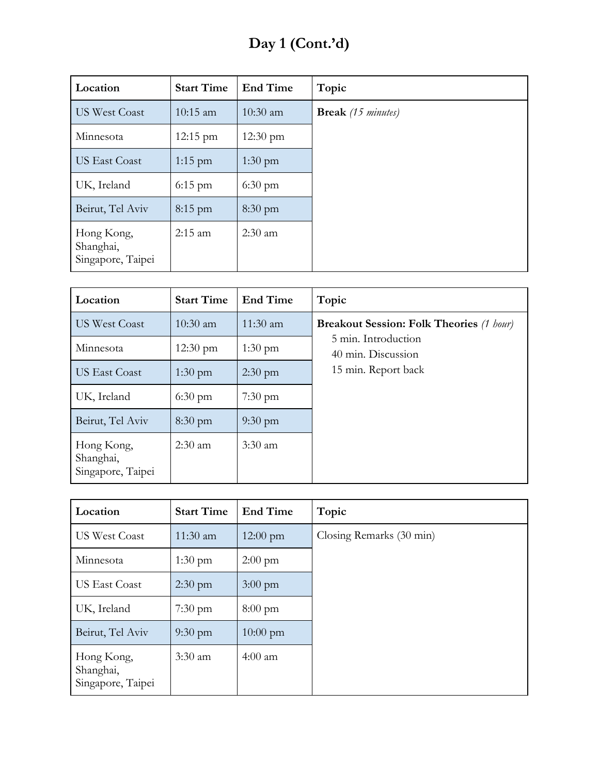# **Day 1 (Cont.'d)**

| Location                                     | <b>Start Time</b>  | <b>End Time</b>    | Topic                     |
|----------------------------------------------|--------------------|--------------------|---------------------------|
| <b>US West Coast</b>                         | $10:15$ am         | $10:30$ am         | <b>Break</b> (15 minutes) |
| Minnesota                                    | $12:15 \text{ pm}$ | $12:30 \text{ pm}$ |                           |
| <b>US East Coast</b>                         | $1:15$ pm          | $1:30 \text{ pm}$  |                           |
| UK, Ireland                                  | $6:15$ pm          | $6:30 \text{ pm}$  |                           |
| Beirut, Tel Aviv                             | $8:15$ pm          | $8:30 \text{ pm}$  |                           |
| Hong Kong,<br>Shanghai,<br>Singapore, Taipei | $2:15$ am          | $2:30$ am          |                           |

| Location                                     | <b>Start Time</b>  | <b>End Time</b>   | Topic                                           |
|----------------------------------------------|--------------------|-------------------|-------------------------------------------------|
| <b>US West Coast</b>                         | $10:30$ am         | $11:30$ am        | <b>Breakout Session: Folk Theories (1 hour)</b> |
| Minnesota                                    | $12:30 \text{ pm}$ | $1:30 \text{ pm}$ | 5 min. Introduction<br>40 min. Discussion       |
| <b>US East Coast</b>                         | $1:30$ pm          | $2:30$ pm         | 15 min. Report back                             |
| UK, Ireland                                  | $6:30 \text{ pm}$  | $7:30 \text{ pm}$ |                                                 |
| Beirut, Tel Aviv                             | $8:30 \text{ pm}$  | $9:30 \text{ pm}$ |                                                 |
| Hong Kong,<br>Shanghai,<br>Singapore, Taipei | $2:30 \text{ am}$  | $3:30$ am         |                                                 |

| Location                                     | <b>Start Time</b> | <b>End Time</b>    | Topic                    |
|----------------------------------------------|-------------------|--------------------|--------------------------|
| <b>US West Coast</b>                         | $11:30$ am        | $12:00 \text{ pm}$ | Closing Remarks (30 min) |
| Minnesota                                    | $1:30 \text{ pm}$ | $2:00 \text{ pm}$  |                          |
| <b>US East Coast</b>                         | $2:30$ pm         | $3:00 \text{ pm}$  |                          |
| UK, Ireland                                  | $7:30 \text{ pm}$ | $8:00 \text{ pm}$  |                          |
| Beirut, Tel Aviv                             | $9:30 \text{ pm}$ | $10:00 \text{ pm}$ |                          |
| Hong Kong,<br>Shanghai,<br>Singapore, Taipei | $3:30$ am         | $4:00$ am          |                          |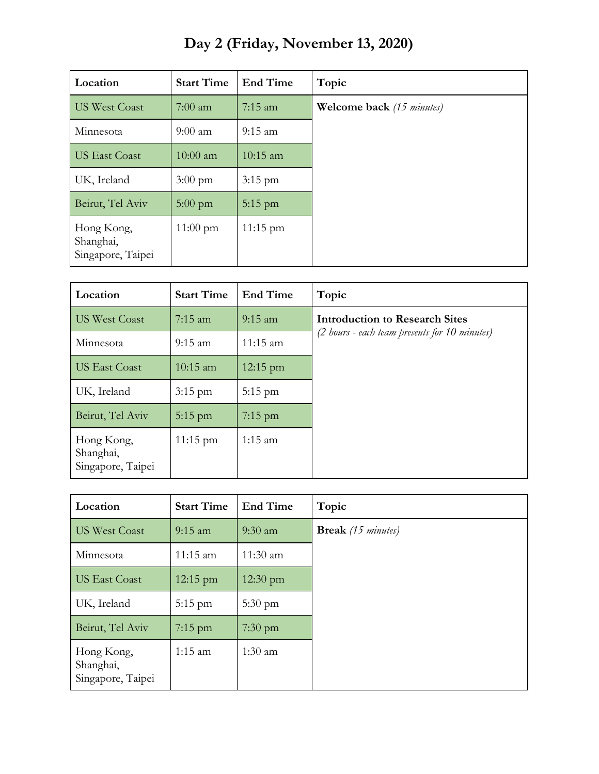| Location                                     | <b>Start Time</b>  | <b>End Time</b>    | Topic                            |
|----------------------------------------------|--------------------|--------------------|----------------------------------|
| <b>US West Coast</b>                         | $7:00$ am          | $7:15$ am          | <b>Welcome back</b> (15 minutes) |
| Minnesota                                    | $9:00$ am          | $9:15 \text{ am}$  |                                  |
| <b>US East Coast</b>                         | $10:00$ am         | $10:15$ am         |                                  |
| UK, Ireland                                  | $3:00 \text{ pm}$  | $3:15$ pm          |                                  |
| Beirut, Tel Aviv                             | $5:00$ pm          | $5:15$ pm          |                                  |
| Hong Kong,<br>Shanghai,<br>Singapore, Taipei | $11:00 \text{ pm}$ | $11:15 \text{ pm}$ |                                  |

**Day 2 (Friday, November 13, 2020)**

| Location                                     | <b>Start Time</b>  | <b>End Time</b>    | Topic                                         |
|----------------------------------------------|--------------------|--------------------|-----------------------------------------------|
| <b>US West Coast</b>                         | $7:15 \text{ am}$  | $9:15$ am          | <b>Introduction to Research Sites</b>         |
| Minnesota                                    | $9:15 \text{ am}$  | $11:15$ am         | (2 hours - each team presents for 10 minutes) |
| <b>US East Coast</b>                         | $10:15$ am         | $12:15 \text{ pm}$ |                                               |
| UK, Ireland                                  | $3:15$ pm          | $5:15$ pm          |                                               |
| Beirut, Tel Aviv                             | $5:15$ pm          | $7:15 \text{ pm}$  |                                               |
| Hong Kong,<br>Shanghai,<br>Singapore, Taipei | $11:15 \text{ pm}$ | $1:15$ am          |                                               |

| Location                                     | <b>Start Time</b>  | <b>End Time</b>   | Topic                     |
|----------------------------------------------|--------------------|-------------------|---------------------------|
| <b>US West Coast</b>                         | $9:15$ am          | $9:30$ am         | <b>Break</b> (15 minutes) |
| Minnesota                                    | $11:15$ am         | $11:30$ am        |                           |
| <b>US East Coast</b>                         | $12:15 \text{ pm}$ | $12:30$ pm        |                           |
| UK, Ireland                                  | $5:15$ pm          | $5:30 \text{ pm}$ |                           |
| Beirut, Tel Aviv                             | $7:15$ pm          | $7:30$ pm         |                           |
| Hong Kong,<br>Shanghai,<br>Singapore, Taipei | $1:15$ am          | $1:30$ am         |                           |